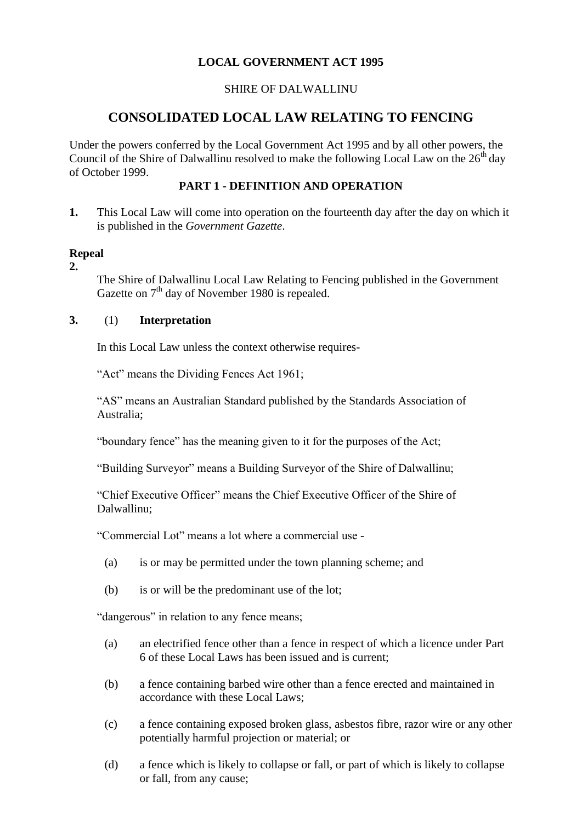## **LOCAL GOVERNMENT ACT 1995**

### SHIRE OF DALWALLINU

# **CONSOLIDATED LOCAL LAW RELATING TO FENCING**

Under the powers conferred by the Local Government Act 1995 and by all other powers, the Council of the Shire of Dalwallinu resolved to make the following Local Law on the  $26<sup>th</sup>$  day of October 1999.

### **PART 1 - DEFINITION AND OPERATION**

**1.** This Local Law will come into operation on the fourteenth day after the day on which it is published in the *Government Gazette*.

### **Repeal**

**2.**

The Shire of Dalwallinu Local Law Relating to Fencing published in the Government Gazette on  $7<sup>th</sup>$  day of November 1980 is repealed.

### **3.** (1) **Interpretation**

In this Local Law unless the context otherwise requires-

"Act" means the Dividing Fences Act 1961;

"AS" means an Australian Standard published by the Standards Association of Australia;

"boundary fence" has the meaning given to it for the purposes of the Act;

"Building Surveyor" means a Building Surveyor of the Shire of Dalwallinu;

"Chief Executive Officer" means the Chief Executive Officer of the Shire of Dalwallinu;

"Commercial Lot" means a lot where a commercial use -

- (a) is or may be permitted under the town planning scheme; and
- (b) is or will be the predominant use of the lot;

"dangerous" in relation to any fence means;

- (a) an electrified fence other than a fence in respect of which a licence under Part 6 of these Local Laws has been issued and is current;
- (b) a fence containing barbed wire other than a fence erected and maintained in accordance with these Local Laws;
- (c) a fence containing exposed broken glass, asbestos fibre, razor wire or any other potentially harmful projection or material; or
- (d) a fence which is likely to collapse or fall, or part of which is likely to collapse or fall, from any cause;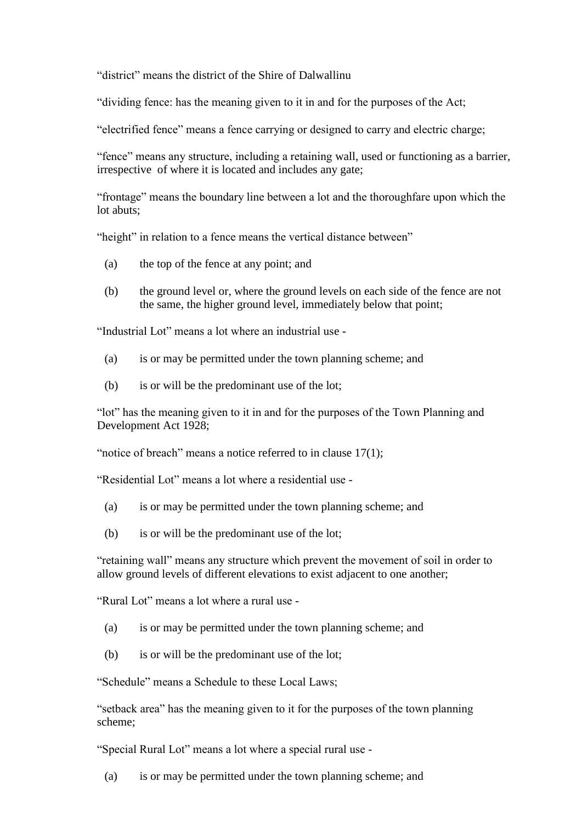"district" means the district of the Shire of Dalwallinu

"dividing fence: has the meaning given to it in and for the purposes of the Act;

"electrified fence" means a fence carrying or designed to carry and electric charge;

"fence" means any structure, including a retaining wall, used or functioning as a barrier, irrespective of where it is located and includes any gate;

"frontage" means the boundary line between a lot and the thoroughfare upon which the lot abuts:

"height" in relation to a fence means the vertical distance between"

- (a) the top of the fence at any point; and
- (b) the ground level or, where the ground levels on each side of the fence are not the same, the higher ground level, immediately below that point;

"Industrial Lot" means a lot where an industrial use -

- (a) is or may be permitted under the town planning scheme; and
- (b) is or will be the predominant use of the lot;

"lot" has the meaning given to it in and for the purposes of the Town Planning and Development Act 1928;

"notice of breach" means a notice referred to in clause 17(1);

"Residential Lot" means a lot where a residential use -

- (a) is or may be permitted under the town planning scheme; and
- (b) is or will be the predominant use of the lot;

"retaining wall" means any structure which prevent the movement of soil in order to allow ground levels of different elevations to exist adjacent to one another;

"Rural Lot" means a lot where a rural use -

- (a) is or may be permitted under the town planning scheme; and
- (b) is or will be the predominant use of the lot;

"Schedule" means a Schedule to these Local Laws;

"setback area" has the meaning given to it for the purposes of the town planning scheme;

"Special Rural Lot" means a lot where a special rural use -

(a) is or may be permitted under the town planning scheme; and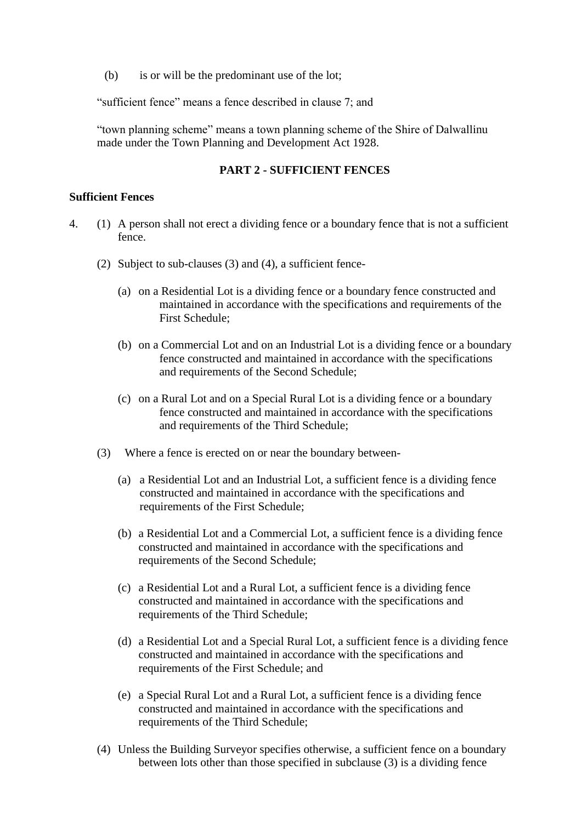(b) is or will be the predominant use of the lot;

"sufficient fence" means a fence described in clause 7; and

"town planning scheme" means a town planning scheme of the Shire of Dalwallinu made under the Town Planning and Development Act 1928.

#### **PART 2 - SUFFICIENT FENCES**

#### **Sufficient Fences**

- 4. (1) A person shall not erect a dividing fence or a boundary fence that is not a sufficient fence.
	- (2) Subject to sub-clauses (3) and (4), a sufficient fence-
		- (a) on a Residential Lot is a dividing fence or a boundary fence constructed and maintained in accordance with the specifications and requirements of the First Schedule;
		- (b) on a Commercial Lot and on an Industrial Lot is a dividing fence or a boundary fence constructed and maintained in accordance with the specifications and requirements of the Second Schedule;
		- (c) on a Rural Lot and on a Special Rural Lot is a dividing fence or a boundary fence constructed and maintained in accordance with the specifications and requirements of the Third Schedule;
	- (3) Where a fence is erected on or near the boundary between-
		- (a) a Residential Lot and an Industrial Lot, a sufficient fence is a dividing fence constructed and maintained in accordance with the specifications and requirements of the First Schedule;
		- (b) a Residential Lot and a Commercial Lot, a sufficient fence is a dividing fence constructed and maintained in accordance with the specifications and requirements of the Second Schedule;
		- (c) a Residential Lot and a Rural Lot, a sufficient fence is a dividing fence constructed and maintained in accordance with the specifications and requirements of the Third Schedule;
		- (d) a Residential Lot and a Special Rural Lot, a sufficient fence is a dividing fence constructed and maintained in accordance with the specifications and requirements of the First Schedule; and
		- (e) a Special Rural Lot and a Rural Lot, a sufficient fence is a dividing fence constructed and maintained in accordance with the specifications and requirements of the Third Schedule;
	- (4) Unless the Building Surveyor specifies otherwise, a sufficient fence on a boundary between lots other than those specified in subclause (3) is a dividing fence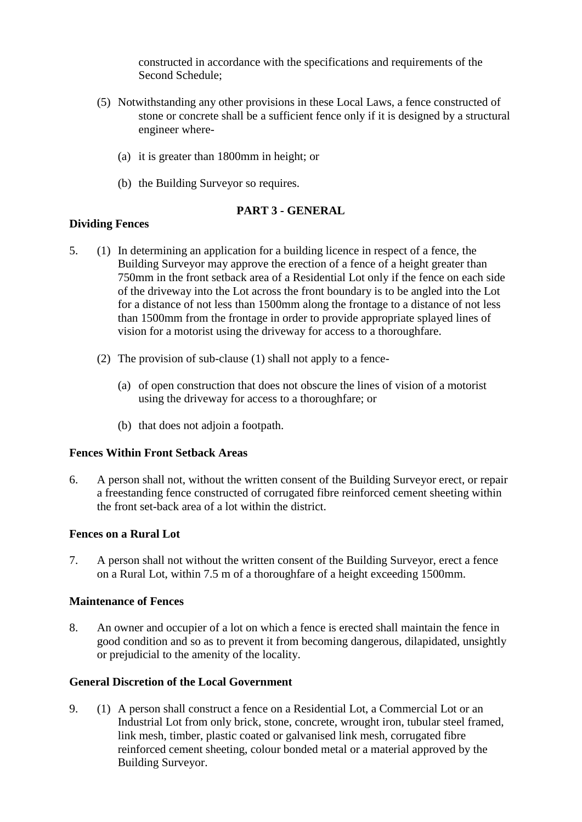constructed in accordance with the specifications and requirements of the Second Schedule;

- (5) Notwithstanding any other provisions in these Local Laws, a fence constructed of stone or concrete shall be a sufficient fence only if it is designed by a structural engineer where-
	- (a) it is greater than 1800mm in height; or
	- (b) the Building Surveyor so requires.

### **PART 3 - GENERAL**

### **Dividing Fences**

- 5. (1) In determining an application for a building licence in respect of a fence, the Building Surveyor may approve the erection of a fence of a height greater than 750mm in the front setback area of a Residential Lot only if the fence on each side of the driveway into the Lot across the front boundary is to be angled into the Lot for a distance of not less than 1500mm along the frontage to a distance of not less than 1500mm from the frontage in order to provide appropriate splayed lines of vision for a motorist using the driveway for access to a thoroughfare.
	- (2) The provision of sub-clause (1) shall not apply to a fence-
		- (a) of open construction that does not obscure the lines of vision of a motorist using the driveway for access to a thoroughfare; or
		- (b) that does not adjoin a footpath.

### **Fences Within Front Setback Areas**

6. A person shall not, without the written consent of the Building Surveyor erect, or repair a freestanding fence constructed of corrugated fibre reinforced cement sheeting within the front set-back area of a lot within the district.

### **Fences on a Rural Lot**

7. A person shall not without the written consent of the Building Surveyor, erect a fence on a Rural Lot, within 7.5 m of a thoroughfare of a height exceeding 1500mm.

#### **Maintenance of Fences**

8. An owner and occupier of a lot on which a fence is erected shall maintain the fence in good condition and so as to prevent it from becoming dangerous, dilapidated, unsightly or prejudicial to the amenity of the locality.

### **General Discretion of the Local Government**

9. (1) A person shall construct a fence on a Residential Lot, a Commercial Lot or an Industrial Lot from only brick, stone, concrete, wrought iron, tubular steel framed, link mesh, timber, plastic coated or galvanised link mesh, corrugated fibre reinforced cement sheeting, colour bonded metal or a material approved by the Building Surveyor.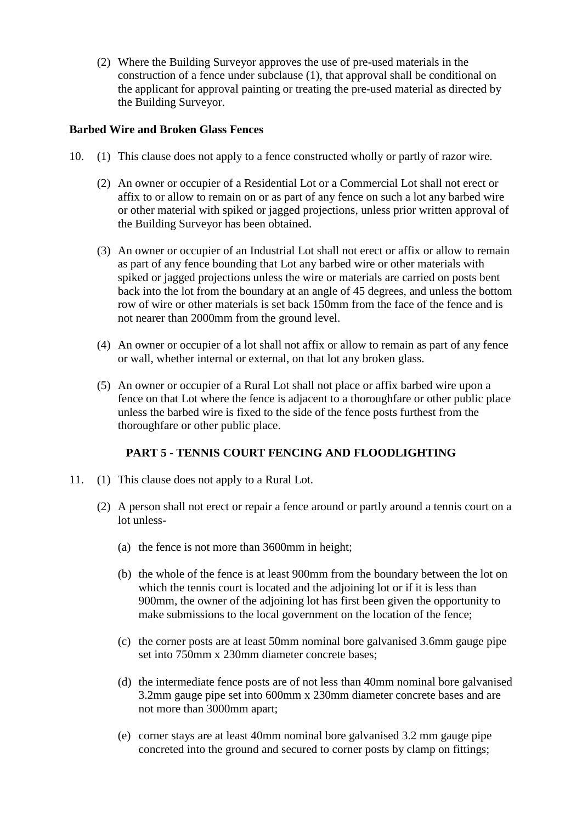(2) Where the Building Surveyor approves the use of pre-used materials in the construction of a fence under subclause (1), that approval shall be conditional on the applicant for approval painting or treating the pre-used material as directed by the Building Surveyor.

### **Barbed Wire and Broken Glass Fences**

- 10. (1) This clause does not apply to a fence constructed wholly or partly of razor wire.
	- (2) An owner or occupier of a Residential Lot or a Commercial Lot shall not erect or affix to or allow to remain on or as part of any fence on such a lot any barbed wire or other material with spiked or jagged projections, unless prior written approval of the Building Surveyor has been obtained.
	- (3) An owner or occupier of an Industrial Lot shall not erect or affix or allow to remain as part of any fence bounding that Lot any barbed wire or other materials with spiked or jagged projections unless the wire or materials are carried on posts bent back into the lot from the boundary at an angle of 45 degrees, and unless the bottom row of wire or other materials is set back 150mm from the face of the fence and is not nearer than 2000mm from the ground level.
	- (4) An owner or occupier of a lot shall not affix or allow to remain as part of any fence or wall, whether internal or external, on that lot any broken glass.
	- (5) An owner or occupier of a Rural Lot shall not place or affix barbed wire upon a fence on that Lot where the fence is adjacent to a thoroughfare or other public place unless the barbed wire is fixed to the side of the fence posts furthest from the thoroughfare or other public place.

### **PART 5 - TENNIS COURT FENCING AND FLOODLIGHTING**

- 11. (1) This clause does not apply to a Rural Lot.
	- (2) A person shall not erect or repair a fence around or partly around a tennis court on a lot unless-
		- (a) the fence is not more than 3600mm in height;
		- (b) the whole of the fence is at least 900mm from the boundary between the lot on which the tennis court is located and the adjoining lot or if it is less than 900mm, the owner of the adjoining lot has first been given the opportunity to make submissions to the local government on the location of the fence;
		- (c) the corner posts are at least 50mm nominal bore galvanised 3.6mm gauge pipe set into 750mm x 230mm diameter concrete bases;
		- (d) the intermediate fence posts are of not less than 40mm nominal bore galvanised 3.2mm gauge pipe set into 600mm x 230mm diameter concrete bases and are not more than 3000mm apart;
		- (e) corner stays are at least 40mm nominal bore galvanised 3.2 mm gauge pipe concreted into the ground and secured to corner posts by clamp on fittings;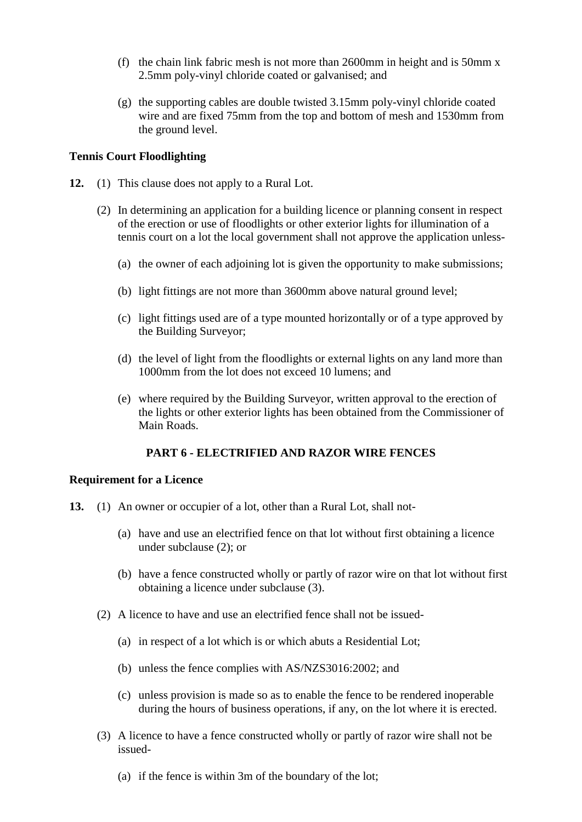- (f) the chain link fabric mesh is not more than 2600mm in height and is 50mm x 2.5mm poly-vinyl chloride coated or galvanised; and
- (g) the supporting cables are double twisted 3.15mm poly-vinyl chloride coated wire and are fixed 75mm from the top and bottom of mesh and 1530mm from the ground level.

### **Tennis Court Floodlighting**

- **12.** (1) This clause does not apply to a Rural Lot.
	- (2) In determining an application for a building licence or planning consent in respect of the erection or use of floodlights or other exterior lights for illumination of a tennis court on a lot the local government shall not approve the application unless-
		- (a) the owner of each adjoining lot is given the opportunity to make submissions;
		- (b) light fittings are not more than 3600mm above natural ground level;
		- (c) light fittings used are of a type mounted horizontally or of a type approved by the Building Surveyor;
		- (d) the level of light from the floodlights or external lights on any land more than 1000mm from the lot does not exceed 10 lumens; and
		- (e) where required by the Building Surveyor, written approval to the erection of the lights or other exterior lights has been obtained from the Commissioner of Main Roads.

### **PART 6 - ELECTRIFIED AND RAZOR WIRE FENCES**

#### **Requirement for a Licence**

- **13.** (1) An owner or occupier of a lot, other than a Rural Lot, shall not-
	- (a) have and use an electrified fence on that lot without first obtaining a licence under subclause (2); or
	- (b) have a fence constructed wholly or partly of razor wire on that lot without first obtaining a licence under subclause (3).
	- (2) A licence to have and use an electrified fence shall not be issued-
		- (a) in respect of a lot which is or which abuts a Residential Lot;
		- (b) unless the fence complies with AS/NZS3016:2002; and
		- (c) unless provision is made so as to enable the fence to be rendered inoperable during the hours of business operations, if any, on the lot where it is erected.
	- (3) A licence to have a fence constructed wholly or partly of razor wire shall not be issued-
		- (a) if the fence is within 3m of the boundary of the lot;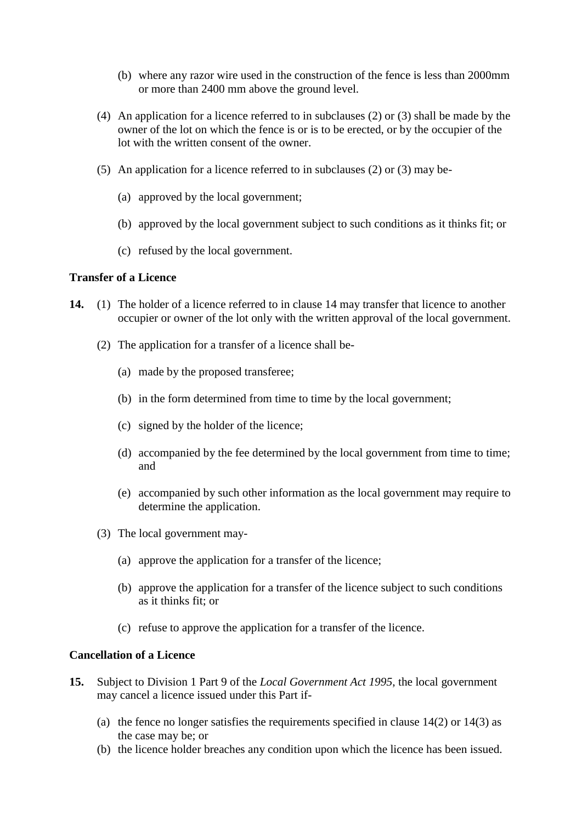- (b) where any razor wire used in the construction of the fence is less than 2000mm or more than 2400 mm above the ground level.
- (4) An application for a licence referred to in subclauses (2) or (3) shall be made by the owner of the lot on which the fence is or is to be erected, or by the occupier of the lot with the written consent of the owner.
- (5) An application for a licence referred to in subclauses (2) or (3) may be-
	- (a) approved by the local government;
	- (b) approved by the local government subject to such conditions as it thinks fit; or
	- (c) refused by the local government.

### **Transfer of a Licence**

- **14.** (1) The holder of a licence referred to in clause 14 may transfer that licence to another occupier or owner of the lot only with the written approval of the local government.
	- (2) The application for a transfer of a licence shall be-
		- (a) made by the proposed transferee;
		- (b) in the form determined from time to time by the local government;
		- (c) signed by the holder of the licence;
		- (d) accompanied by the fee determined by the local government from time to time; and
		- (e) accompanied by such other information as the local government may require to determine the application.
	- (3) The local government may-
		- (a) approve the application for a transfer of the licence;
		- (b) approve the application for a transfer of the licence subject to such conditions as it thinks fit; or
		- (c) refuse to approve the application for a transfer of the licence.

#### **Cancellation of a Licence**

- **15.** Subject to Division 1 Part 9 of the *Local Government Act 1995*, the local government may cancel a licence issued under this Part if-
	- (a) the fence no longer satisfies the requirements specified in clause  $14(2)$  or  $14(3)$  as the case may be; or
	- (b) the licence holder breaches any condition upon which the licence has been issued.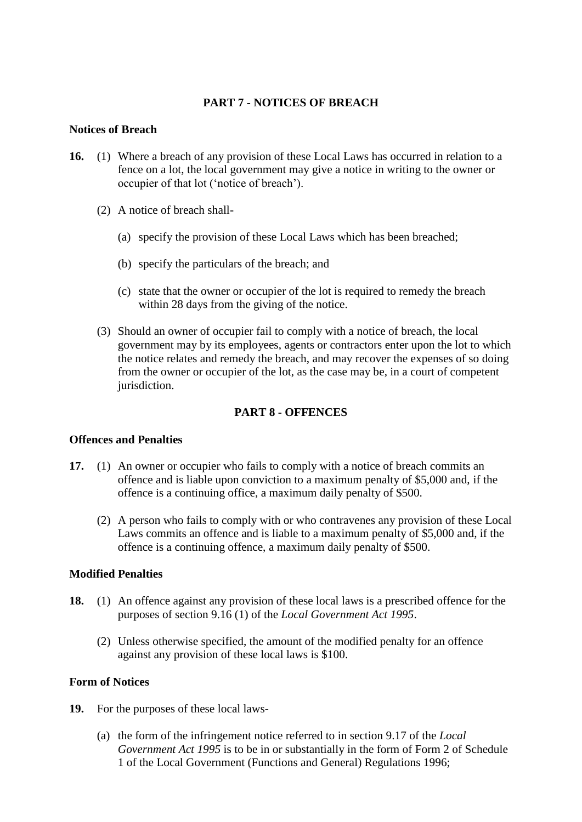### **PART 7 - NOTICES OF BREACH**

#### **Notices of Breach**

- **16.** (1) Where a breach of any provision of these Local Laws has occurred in relation to a fence on a lot, the local government may give a notice in writing to the owner or occupier of that lot ('notice of breach').
	- (2) A notice of breach shall-
		- (a) specify the provision of these Local Laws which has been breached;
		- (b) specify the particulars of the breach; and
		- (c) state that the owner or occupier of the lot is required to remedy the breach within 28 days from the giving of the notice.
	- (3) Should an owner of occupier fail to comply with a notice of breach, the local government may by its employees, agents or contractors enter upon the lot to which the notice relates and remedy the breach, and may recover the expenses of so doing from the owner or occupier of the lot, as the case may be, in a court of competent jurisdiction.

### **PART 8 - OFFENCES**

#### **Offences and Penalties**

- **17.** (1) An owner or occupier who fails to comply with a notice of breach commits an offence and is liable upon conviction to a maximum penalty of \$5,000 and, if the offence is a continuing office, a maximum daily penalty of \$500.
	- (2) A person who fails to comply with or who contravenes any provision of these Local Laws commits an offence and is liable to a maximum penalty of \$5,000 and, if the offence is a continuing offence, a maximum daily penalty of \$500.

#### **Modified Penalties**

- **18.** (1) An offence against any provision of these local laws is a prescribed offence for the purposes of section 9.16 (1) of the *Local Government Act 1995*.
	- (2) Unless otherwise specified, the amount of the modified penalty for an offence against any provision of these local laws is \$100.

### **Form of Notices**

- **19.** For the purposes of these local laws-
	- (a) the form of the infringement notice referred to in section 9.17 of the *Local Government Act 1995* is to be in or substantially in the form of Form 2 of Schedule 1 of the Local Government (Functions and General) Regulations 1996;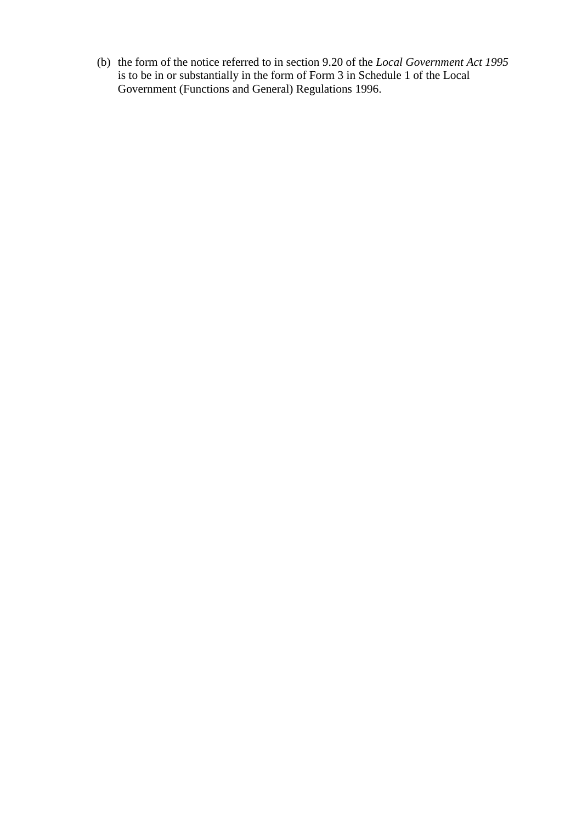(b) the form of the notice referred to in section 9.20 of the *Local Government Act 1995* is to be in or substantially in the form of Form 3 in Schedule 1 of the Local Government (Functions and General) Regulations 1996.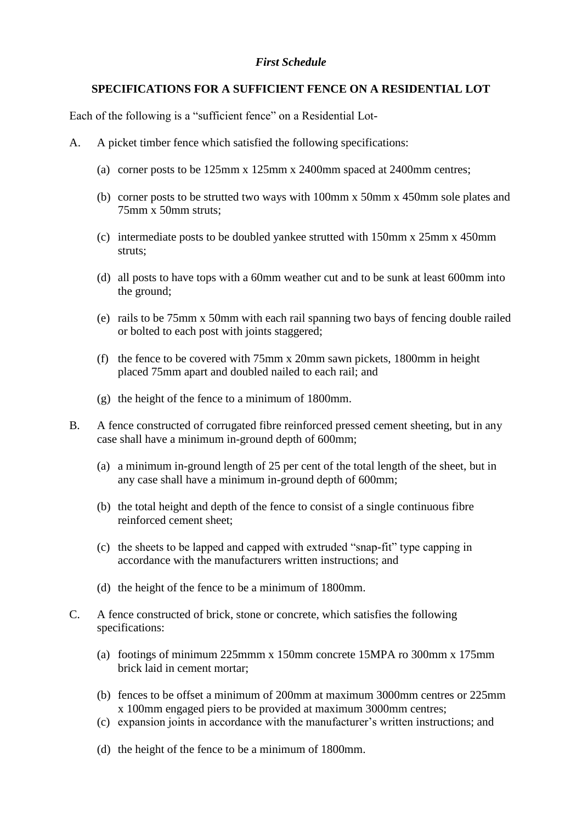### *First Schedule*

### **SPECIFICATIONS FOR A SUFFICIENT FENCE ON A RESIDENTIAL LOT**

Each of the following is a "sufficient fence" on a Residential Lot-

- A. A picket timber fence which satisfied the following specifications:
	- (a) corner posts to be 125mm x 125mm x 2400mm spaced at 2400mm centres;
	- (b) corner posts to be strutted two ways with 100mm x 50mm x 450mm sole plates and 75mm x 50mm struts;
	- (c) intermediate posts to be doubled yankee strutted with 150mm x 25mm x 450mm struts;
	- (d) all posts to have tops with a 60mm weather cut and to be sunk at least 600mm into the ground;
	- (e) rails to be 75mm x 50mm with each rail spanning two bays of fencing double railed or bolted to each post with joints staggered;
	- (f) the fence to be covered with 75mm x 20mm sawn pickets, 1800mm in height placed 75mm apart and doubled nailed to each rail; and
	- (g) the height of the fence to a minimum of 1800mm.
- B. A fence constructed of corrugated fibre reinforced pressed cement sheeting, but in any case shall have a minimum in-ground depth of 600mm;
	- (a) a minimum in-ground length of 25 per cent of the total length of the sheet, but in any case shall have a minimum in-ground depth of 600mm;
	- (b) the total height and depth of the fence to consist of a single continuous fibre reinforced cement sheet;
	- (c) the sheets to be lapped and capped with extruded "snap-fit" type capping in accordance with the manufacturers written instructions; and
	- (d) the height of the fence to be a minimum of 1800mm.
- C. A fence constructed of brick, stone or concrete, which satisfies the following specifications:
	- (a) footings of minimum 225mmm x 150mm concrete 15MPA ro 300mm x 175mm brick laid in cement mortar;
	- (b) fences to be offset a minimum of 200mm at maximum 3000mm centres or 225mm x 100mm engaged piers to be provided at maximum 3000mm centres;
	- (c) expansion joints in accordance with the manufacturer's written instructions; and
	- (d) the height of the fence to be a minimum of 1800mm.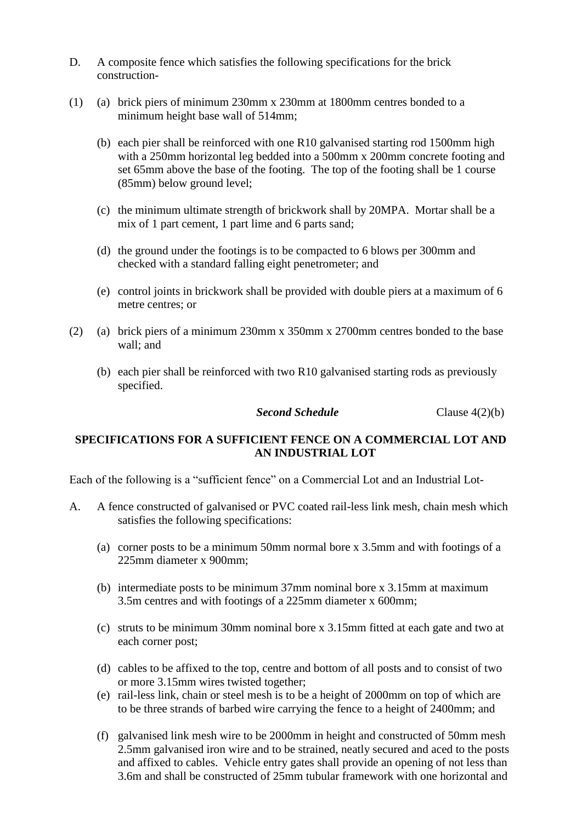- D. A composite fence which satisfies the following specifications for the brick construction-
- (1) (a) brick piers of minimum 230mm x 230mm at 1800mm centres bonded to a minimum height base wall of 514mm;
	- (b) each pier shall be reinforced with one R10 galvanised starting rod 1500mm high with a 250mm horizontal leg bedded into a 500mm x 200mm concrete footing and set 65mm above the base of the footing. The top of the footing shall be 1 course (85mm) below ground level;
	- (c) the minimum ultimate strength of brickwork shall by 20MPA. Mortar shall be a mix of 1 part cement, 1 part lime and 6 parts sand;
	- (d) the ground under the footings is to be compacted to 6 blows per 300mm and checked with a standard falling eight penetrometer; and
	- (e) control joints in brickwork shall be provided with double piers at a maximum of 6 metre centres; or
- (2) (a) brick piers of a minimum 230mm x 350mm x 2700mm centres bonded to the base wall; and
	- (b) each pier shall be reinforced with two R10 galvanised starting rods as previously specified.

*Second Schedule* Clause 4(2)(b)

### **SPECIFICATIONS FOR A SUFFICIENT FENCE ON A COMMERCIAL LOT AND AN INDUSTRIAL LOT**

Each of the following is a "sufficient fence" on a Commercial Lot and an Industrial Lot-

- A. A fence constructed of galvanised or PVC coated rail-less link mesh, chain mesh which satisfies the following specifications:
	- (a) corner posts to be a minimum 50mm normal bore x 3.5mm and with footings of a 225mm diameter x 900mm;
	- (b) intermediate posts to be minimum 37mm nominal bore x 3.15mm at maximum 3.5m centres and with footings of a 225mm diameter x 600mm;
	- (c) struts to be minimum 30mm nominal bore x 3.15mm fitted at each gate and two at each corner post;
	- (d) cables to be affixed to the top, centre and bottom of all posts and to consist of two or more 3.15mm wires twisted together;
	- (e) rail-less link, chain or steel mesh is to be a height of 2000mm on top of which are to be three strands of barbed wire carrying the fence to a height of 2400mm; and
	- (f) galvanised link mesh wire to be 2000mm in height and constructed of 50mm mesh 2.5mm galvanised iron wire and to be strained, neatly secured and aced to the posts and affixed to cables. Vehicle entry gates shall provide an opening of not less than 3.6m and shall be constructed of 25mm tubular framework with one horizontal and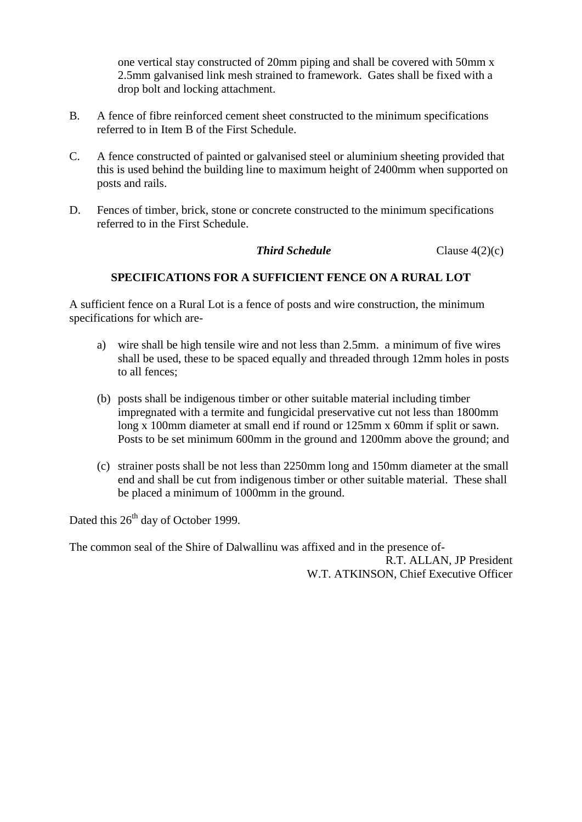one vertical stay constructed of 20mm piping and shall be covered with 50mm x 2.5mm galvanised link mesh strained to framework. Gates shall be fixed with a drop bolt and locking attachment.

- B. A fence of fibre reinforced cement sheet constructed to the minimum specifications referred to in Item B of the First Schedule.
- C. A fence constructed of painted or galvanised steel or aluminium sheeting provided that this is used behind the building line to maximum height of 2400mm when supported on posts and rails.
- D. Fences of timber, brick, stone or concrete constructed to the minimum specifications referred to in the First Schedule.

### **Third Schedule** Clause 4(2)(c)

### **SPECIFICATIONS FOR A SUFFICIENT FENCE ON A RURAL LOT**

A sufficient fence on a Rural Lot is a fence of posts and wire construction, the minimum specifications for which are-

- a) wire shall be high tensile wire and not less than 2.5mm. a minimum of five wires shall be used, these to be spaced equally and threaded through 12mm holes in posts to all fences;
- (b) posts shall be indigenous timber or other suitable material including timber impregnated with a termite and fungicidal preservative cut not less than 1800mm long x 100mm diameter at small end if round or 125mm x 60mm if split or sawn. Posts to be set minimum 600mm in the ground and 1200mm above the ground; and
- (c) strainer posts shall be not less than 2250mm long and 150mm diameter at the small end and shall be cut from indigenous timber or other suitable material. These shall be placed a minimum of 1000mm in the ground.

Dated this 26<sup>th</sup> day of October 1999.

The common seal of the Shire of Dalwallinu was affixed and in the presence of-R.T. ALLAN, JP President W.T. ATKINSON, Chief Executive Officer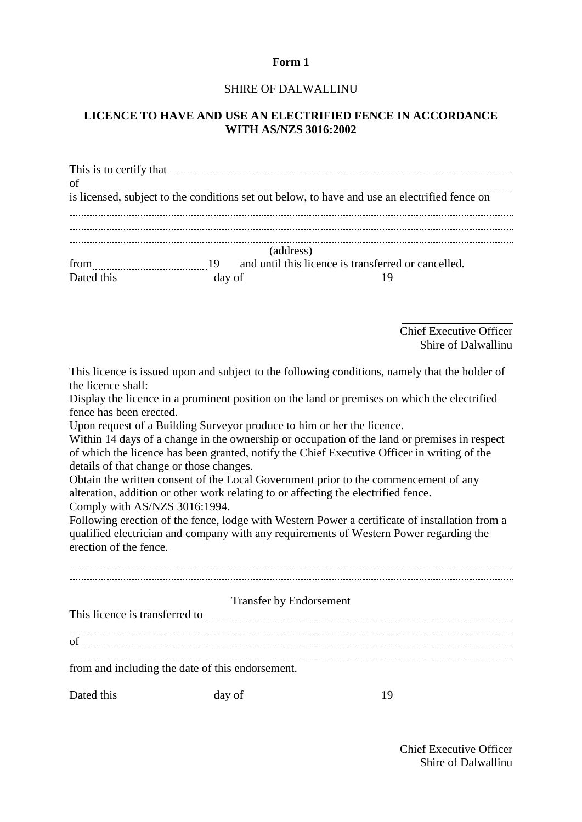#### **Form 1**

#### SHIRE OF DALWALLINU

### **LICENCE TO HAVE AND USE AN ELECTRIFIED FENCE IN ACCORDANCE WITH AS/NZS 3016:2002**

|            |           | This is to certify that <u>contained</u> that the contained a set of the contained a set of the contained and the contained a set of the contained and the contained a set of the contained and contained a set of the contained an |  |
|------------|-----------|-------------------------------------------------------------------------------------------------------------------------------------------------------------------------------------------------------------------------------------|--|
| of         |           |                                                                                                                                                                                                                                     |  |
|            |           | is licensed, subject to the conditions set out below, to have and use an electrified fence on                                                                                                                                       |  |
|            |           |                                                                                                                                                                                                                                     |  |
|            |           |                                                                                                                                                                                                                                     |  |
|            | (address) |                                                                                                                                                                                                                                     |  |
| from       |           | and until this licence is transferred or cancelled.                                                                                                                                                                                 |  |
| Dated this | day of    |                                                                                                                                                                                                                                     |  |

Chief Executive Officer Shire of Dalwallinu

This licence is issued upon and subject to the following conditions, namely that the holder of the licence shall:

Display the licence in a prominent position on the land or premises on which the electrified fence has been erected.

Upon request of a Building Surveyor produce to him or her the licence.

Within 14 days of a change in the ownership or occupation of the land or premises in respect of which the licence has been granted, notify the Chief Executive Officer in writing of the details of that change or those changes.

Obtain the written consent of the Local Government prior to the commencement of any alteration, addition or other work relating to or affecting the electrified fence. Comply with AS/NZS 3016:1994.

Following erection of the fence, lodge with Western Power a certificate of installation from a qualified electrician and company with any requirements of Western Power regarding the erection of the fence.

|                                | <b>Transfer by Endorsement</b>                   |    |  |
|--------------------------------|--------------------------------------------------|----|--|
| This licence is transferred to |                                                  |    |  |
|                                |                                                  |    |  |
| of                             |                                                  |    |  |
|                                | from and including the date of this endorsement. |    |  |
| Dated this                     | day of                                           | 19 |  |

Chief Executive Officer Shire of Dalwallinu